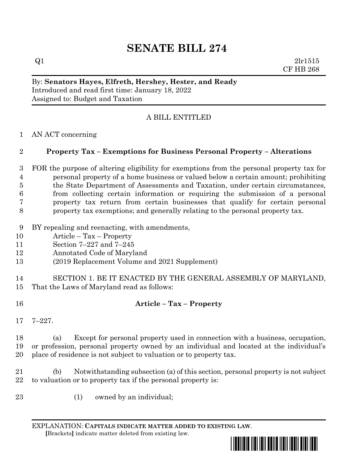# **SENATE BILL 274**

 $Q1$  2lr1515 CF HB 268

#### By: **Senators Hayes, Elfreth, Hershey, Hester, and Ready** Introduced and read first time: January 18, 2022 Assigned to: Budget and Taxation

## A BILL ENTITLED

### AN ACT concerning

## **Property Tax – Exemptions for Business Personal Property – Alterations**

 FOR the purpose of altering eligibility for exemptions from the personal property tax for personal property of a home business or valued below a certain amount; prohibiting the State Department of Assessments and Taxation, under certain circumstances, from collecting certain information or requiring the submission of a personal property tax return from certain businesses that qualify for certain personal property tax exemptions; and generally relating to the personal property tax.

- BY repealing and reenacting, with amendments,
- Article Tax Property
- Section 7–227 and 7–245
- Annotated Code of Maryland
- (2019 Replacement Volume and 2021 Supplement)
- SECTION 1. BE IT ENACTED BY THE GENERAL ASSEMBLY OF MARYLAND, That the Laws of Maryland read as follows:
- **Article – Tax – Property**
- 

7–227.

 (a) Except for personal property used in connection with a business, occupation, or profession, personal property owned by an individual and located at the individual's place of residence is not subject to valuation or to property tax.

 (b) Notwithstanding subsection (a) of this section, personal property is not subject to valuation or to property tax if the personal property is:

(1) owned by an individual;

EXPLANATION: **CAPITALS INDICATE MATTER ADDED TO EXISTING LAW**.  **[**Brackets**]** indicate matter deleted from existing law.